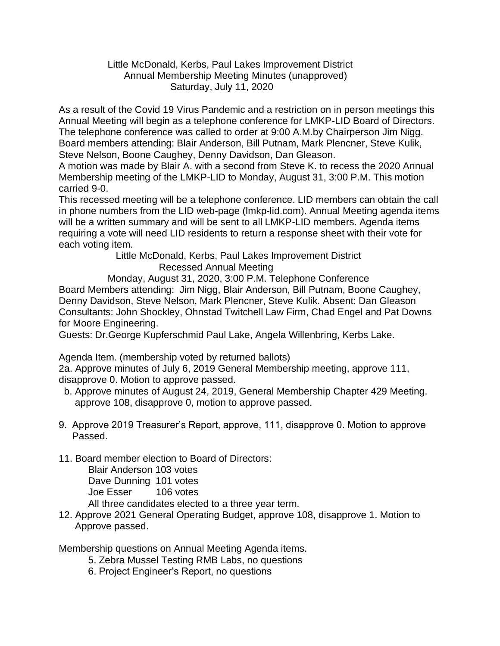Little McDonald, Kerbs, Paul Lakes Improvement District Annual Membership Meeting Minutes (unapproved) Saturday, July 11, 2020

As a result of the Covid 19 Virus Pandemic and a restriction on in person meetings this Annual Meeting will begin as a telephone conference for LMKP-LID Board of Directors. The telephone conference was called to order at 9:00 A.M.by Chairperson Jim Nigg. Board members attending: Blair Anderson, Bill Putnam, Mark Plencner, Steve Kulik, Steve Nelson, Boone Caughey, Denny Davidson, Dan Gleason.

A motion was made by Blair A. with a second from Steve K. to recess the 2020 Annual Membership meeting of the LMKP-LID to Monday, August 31, 3:00 P.M. This motion carried 9-0.

This recessed meeting will be a telephone conference. LID members can obtain the call in phone numbers from the LID web-page (lmkp-lid.com). Annual Meeting agenda items will be a written summary and will be sent to all LMKP-LID members. Agenda items requiring a vote will need LID residents to return a response sheet with their vote for each voting item.

 Little McDonald, Kerbs, Paul Lakes Improvement District Recessed Annual Meeting

 Monday, August 31, 2020, 3:00 P.M. Telephone Conference Board Members attending: Jim Nigg, Blair Anderson, Bill Putnam, Boone Caughey, Denny Davidson, Steve Nelson, Mark Plencner, Steve Kulik. Absent: Dan Gleason Consultants: John Shockley, Ohnstad Twitchell Law Firm, Chad Engel and Pat Downs for Moore Engineering.

Guests: Dr.George Kupferschmid Paul Lake, Angela Willenbring, Kerbs Lake.

Agenda Item. (membership voted by returned ballots)

2a. Approve minutes of July 6, 2019 General Membership meeting, approve 111, disapprove 0. Motion to approve passed.

- b. Approve minutes of August 24, 2019, General Membership Chapter 429 Meeting. approve 108, disapprove 0, motion to approve passed.
- 9. Approve 2019 Treasurer's Report, approve, 111, disapprove 0. Motion to approve Passed.
- 11. Board member election to Board of Directors:

Blair Anderson 103 votes Dave Dunning 101 votes Joe Esser 106 votes

All three candidates elected to a three year term.

12. Approve 2021 General Operating Budget, approve 108, disapprove 1. Motion to Approve passed.

Membership questions on Annual Meeting Agenda items.

- 5. Zebra Mussel Testing RMB Labs, no questions
- 6. Project Engineer's Report, no questions